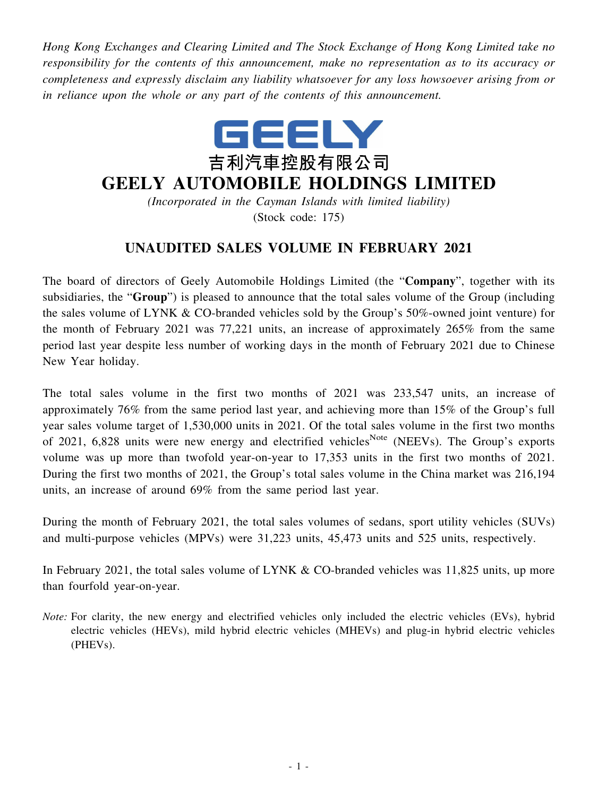*Hong Kong Exchanges and Clearing Limited and The Stock Exchange of Hong Kong Limited take no responsibility for the contents of this announcement, make no representation as to its accuracy or completeness and expressly disclaim any liability whatsoever for any loss howsoever arising from or in reliance upon the whole or any part of the contents of this announcement.*



## **GEELY AUTOMOBILE HOLDINGS LIMITED**

*(Incorporated in the Cayman Islands with limited liability)* (Stock code: 175)

## **UNAUDITED SALES VOLUME IN FEBRUARY 2021**

The board of directors of Geely Automobile Holdings Limited (the "**Company**", together with its subsidiaries, the "**Group**") is pleased to announce that the total sales volume of the Group (including the sales volume of LYNK & CO-branded vehicles sold by the Group's 50%-owned joint venture) for the month of February 2021 was 77,221 units, an increase of approximately 265% from the same period last year despite less number of working days in the month of February 2021 due to Chinese New Year holiday.

The total sales volume in the first two months of 2021 was 233,547 units, an increase of approximately 76% from the same period last year, and achieving more than 15% of the Group's full year sales volume target of 1,530,000 units in 2021. Of the total sales volume in the first two months of 2021, 6,828 units were new energy and electrified vehicles<sup>Note</sup> (NEEVs). The Group's exports volume was up more than twofold year-on-year to 17,353 units in the first two months of 2021. During the first two months of 2021, the Group's total sales volume in the China market was 216,194 units, an increase of around 69% from the same period last year.

During the month of February 2021, the total sales volumes of sedans, sport utility vehicles (SUVs) and multi-purpose vehicles (MPVs) were 31,223 units, 45,473 units and 525 units, respectively.

In February 2021, the total sales volume of LYNK & CO-branded vehicles was 11,825 units, up more than fourfold year-on-year.

*Note:* For clarity, the new energy and electrified vehicles only included the electric vehicles (EVs), hybrid electric vehicles (HEVs), mild hybrid electric vehicles (MHEVs) and plug-in hybrid electric vehicles (PHEVs).